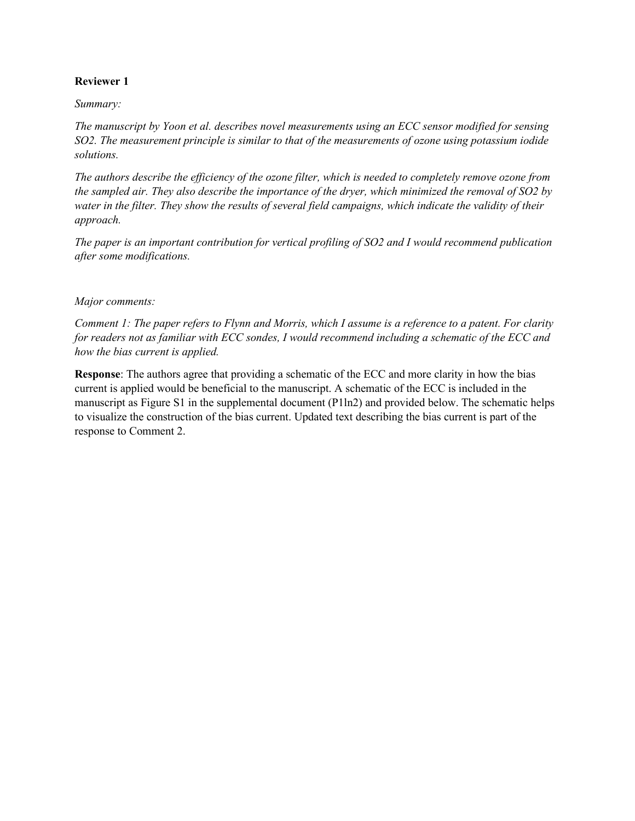## **Reviewer 1**

### *Summary:*

*The manuscript by Yoon et al. describes novel measurements using an ECC sensor modified for sensing SO2. The measurement principle is similar to that of the measurements of ozone using potassium iodide solutions.* 

*The authors describe the efficiency of the ozone filter, which is needed to completely remove ozone from the sampled air. They also describe the importance of the dryer, which minimized the removal of SO2 by water in the filter. They show the results of several field campaigns, which indicate the validity of their approach.* 

*The paper is an important contribution for vertical profiling of SO2 and I would recommend publication after some modifications.* 

#### *Major comments:*

*Comment 1: The paper refers to Flynn and Morris, which I assume is a reference to a patent. For clarity for readers not as familiar with ECC sondes, I would recommend including a schematic of the ECC and how the bias current is applied.* 

**Response**: The authors agree that providing a schematic of the ECC and more clarity in how the bias current is applied would be beneficial to the manuscript. A schematic of the ECC is included in the manuscript as Figure S1 in the supplemental document (P1ln2) and provided below. The schematic helps to visualize the construction of the bias current. Updated text describing the bias current is part of the response to Comment 2.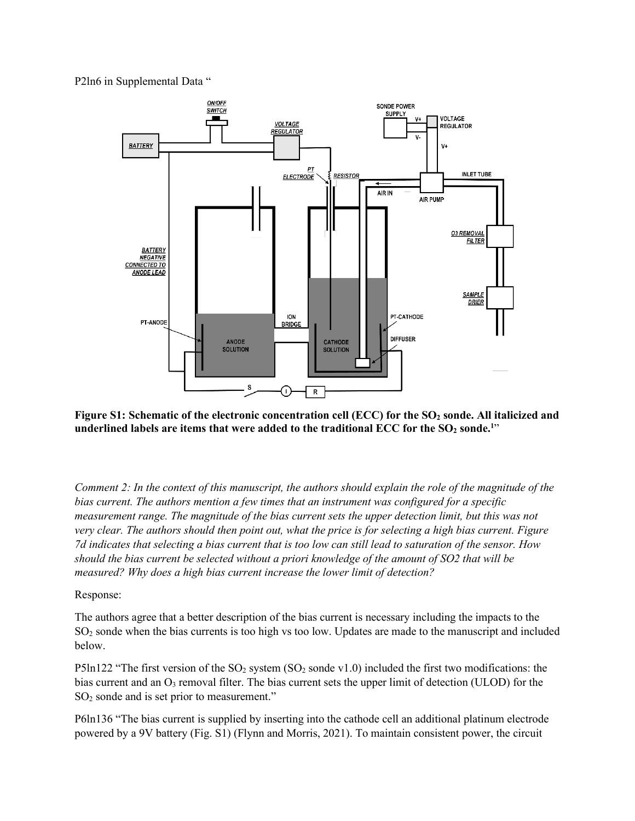P2ln6 in Supplemental Data "



Figure S1: Schematic of the electronic concentration cell (ECC) for the SO<sub>2</sub> sonde. All italicized and underlined labels are items that were added to the traditional ECC for the SO<sub>2</sub> sonde.<sup>1</sup>"

*Comment 2: In the context of this manuscript, the authors should explain the role of the magnitude of the bias current. The authors mention a few times that an instrument was configured for a specific measurement range. The magnitude of the bias current sets the upper detection limit, but this was not very clear. The authors should then point out, what the price is for selecting a high bias current. Figure 7d indicates that selecting a bias current that is too low can still lead to saturation of the sensor. How should the bias current be selected without a priori knowledge of the amount of SO2 that will be measured? Why does a high bias current increase the lower limit of detection?* 

### Response:

The authors agree that a better description of the bias current is necessary including the impacts to the SO2 sonde when the bias currents is too high vs too low. Updates are made to the manuscript and included below.

P5ln122 "The first version of the  $SO_2$  system ( $SO_2$  sonde v1.0) included the first two modifications: the bias current and an  $O_3$  removal filter. The bias current sets the upper limit of detection (ULOD) for the SO<sub>2</sub> sonde and is set prior to measurement."

P6ln136 "The bias current is supplied by inserting into the cathode cell an additional platinum electrode powered by a 9V battery (Fig. S1) (Flynn and Morris, 2021). To maintain consistent power, the circuit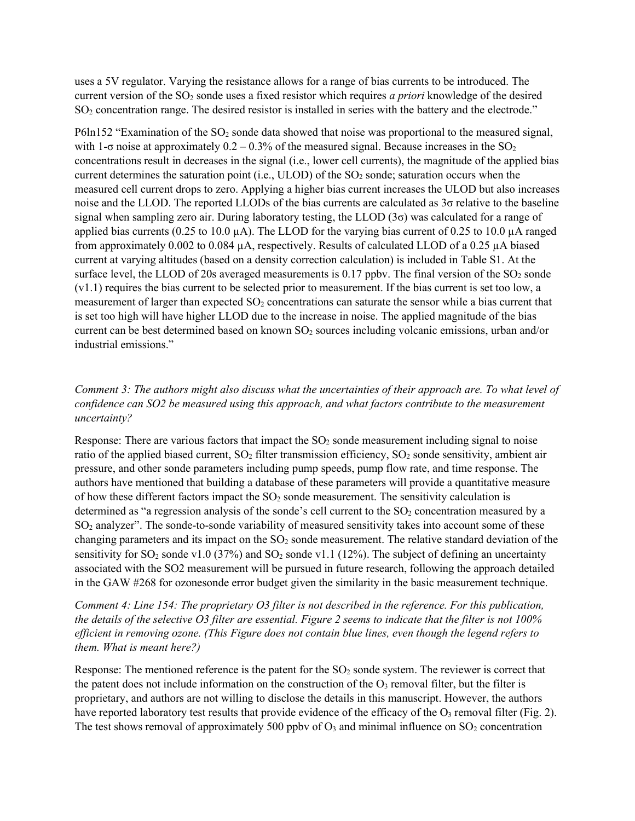uses a 5V regulator. Varying the resistance allows for a range of bias currents to be introduced. The current version of the SO2 sonde uses a fixed resistor which requires *a priori* knowledge of the desired SO2 concentration range. The desired resistor is installed in series with the battery and the electrode."

P6ln152 "Examination of the  $SO_2$  sonde data showed that noise was proportional to the measured signal, with 1- $\sigma$  noise at approximately 0.2 – 0.3% of the measured signal. Because increases in the SO<sub>2</sub> concentrations result in decreases in the signal (i.e., lower cell currents), the magnitude of the applied bias current determines the saturation point (i.e., ULOD) of the  $SO<sub>2</sub>$  sonde; saturation occurs when the measured cell current drops to zero. Applying a higher bias current increases the ULOD but also increases noise and the LLOD. The reported LLODs of the bias currents are calculated as 3σ relative to the baseline signal when sampling zero air. During laboratory testing, the LLOD (3σ) was calculated for a range of applied bias currents (0.25 to 10.0 µA). The LLOD for the varying bias current of 0.25 to 10.0 µA ranged from approximately 0.002 to 0.084 µA, respectively. Results of calculated LLOD of a 0.25 µA biased current at varying altitudes (based on a density correction calculation) is included in Table S1. At the surface level, the LLOD of 20s averaged measurements is  $0.17$  ppbv. The final version of the  $SO<sub>2</sub>$  sonde (v1.1) requires the bias current to be selected prior to measurement. If the bias current is set too low, a measurement of larger than expected SO<sub>2</sub> concentrations can saturate the sensor while a bias current that is set too high will have higher LLOD due to the increase in noise. The applied magnitude of the bias current can be best determined based on known SO<sub>2</sub> sources including volcanic emissions, urban and/or industrial emissions."

## *Comment 3: The authors might also discuss what the uncertainties of their approach are. To what level of confidence can SO2 be measured using this approach, and what factors contribute to the measurement uncertainty?*

Response: There are various factors that impact the  $SO<sub>2</sub>$  sonde measurement including signal to noise ratio of the applied biased current,  $SO_2$  filter transmission efficiency,  $SO_2$  sonde sensitivity, ambient air pressure, and other sonde parameters including pump speeds, pump flow rate, and time response. The authors have mentioned that building a database of these parameters will provide a quantitative measure of how these different factors impact the  $SO<sub>2</sub>$  sonde measurement. The sensitivity calculation is determined as "a regression analysis of the sonde's cell current to the  $SO<sub>2</sub>$  concentration measured by a SO2 analyzer". The sonde-to-sonde variability of measured sensitivity takes into account some of these changing parameters and its impact on the  $SO<sub>2</sub>$  sonde measurement. The relative standard deviation of the sensitivity for  $SO_2$  sonde v1.0 (37%) and  $SO_2$  sonde v1.1 (12%). The subject of defining an uncertainty associated with the SO2 measurement will be pursued in future research, following the approach detailed in the GAW #268 for ozonesonde error budget given the similarity in the basic measurement technique.

*Comment 4: Line 154: The proprietary O3 filter is not described in the reference. For this publication, the details of the selective O3 filter are essential. Figure 2 seems to indicate that the filter is not 100% efficient in removing ozone. (This Figure does not contain blue lines, even though the legend refers to them. What is meant here?)* 

Response: The mentioned reference is the patent for the  $SO<sub>2</sub>$  sonde system. The reviewer is correct that the patent does not include information on the construction of the  $O_3$  removal filter, but the filter is proprietary, and authors are not willing to disclose the details in this manuscript. However, the authors have reported laboratory test results that provide evidence of the efficacy of the  $O<sub>3</sub>$  removal filter (Fig. 2). The test shows removal of approximately 500 ppby of  $O_3$  and minimal influence on  $SO_2$  concentration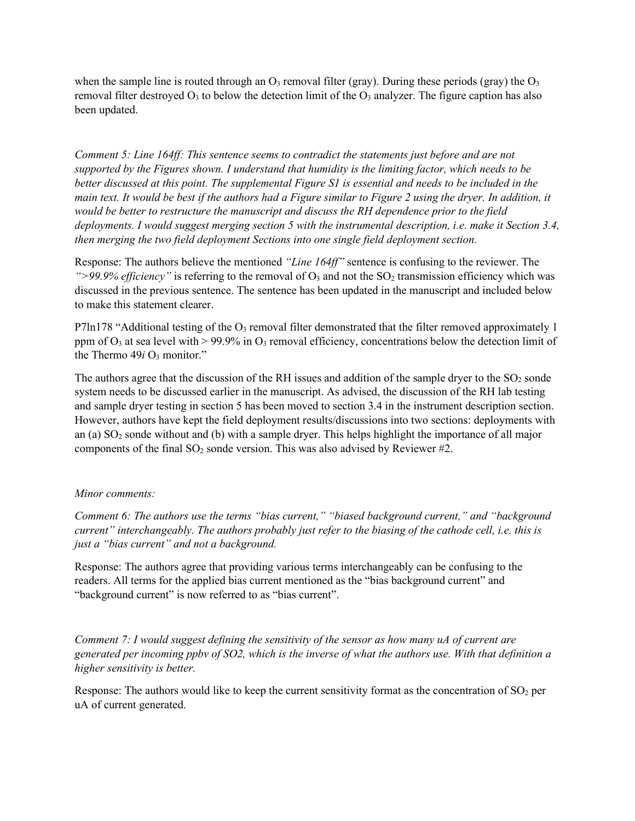when the sample line is routed through an  $O_3$  removal filter (gray). During these periods (gray) the  $O_3$ removal filter destroyed  $O_3$  to below the detection limit of the  $O_3$  analyzer. The figure caption has also been updated.

*Comment 5: Line 164ff: This sentence seems to contradict the statements just before and are not supported by the Figures shown. I understand that humidity is the limiting factor, which needs to be better discussed at this point. The supplemental Figure S1 is essential and needs to be included in the main text. It would be best if the authors had a Figure similar to Figure 2 using the dryer. In addition, it would be better to restructure the manuscript and discuss the RH dependence prior to the field deployments. I would suggest merging section 5 with the instrumental description, i.e. make it Section 3.4, then merging the two field deployment Sections into one single field deployment section.* 

Response: The authors believe the mentioned *"Line 164ff"* sentence is confusing to the reviewer. The ">99.9% efficiency" is referring to the removal of  $O_3$  and not the SO<sub>2</sub> transmission efficiency which was discussed in the previous sentence. The sentence has been updated in the manuscript and included below to make this statement clearer.

P7ln178 "Additional testing of the  $O_3$  removal filter demonstrated that the filter removed approximately 1 ppm of  $O_3$  at sea level with  $> 99.9\%$  in  $O_3$  removal efficiency, concentrations below the detection limit of the Thermo  $49i$  O<sub>3</sub> monitor."

The authors agree that the discussion of the RH issues and addition of the sample dryer to the  $SO_2$  sonde system needs to be discussed earlier in the manuscript. As advised, the discussion of the RH lab testing and sample dryer testing in section 5 has been moved to section 3.4 in the instrument description section. However, authors have kept the field deployment results/discussions into two sections: deployments with an (a) SO<sub>2</sub> sonde without and (b) with a sample dryer. This helps highlight the importance of all major components of the final  $SO_2$  sonde version. This was also advised by Reviewer #2.

### *Minor comments:*

*Comment 6: The authors use the terms "bias current," "biased background current," and "background current" interchangeably. The authors probably just refer to the biasing of the cathode cell, i.e. this is just a "bias current" and not a background.* 

Response: The authors agree that providing various terms interchangeably can be confusing to the readers. All terms for the applied bias current mentioned as the "bias background current" and "background current" is now referred to as "bias current".

*Comment 7: I would suggest defining the sensitivity of the sensor as how many uA of current are generated per incoming ppbv of SO2, which is the inverse of what the authors use. With that definition a higher sensitivity is better.* 

Response: The authors would like to keep the current sensitivity format as the concentration of  $SO<sub>2</sub>$  per uA of current generated.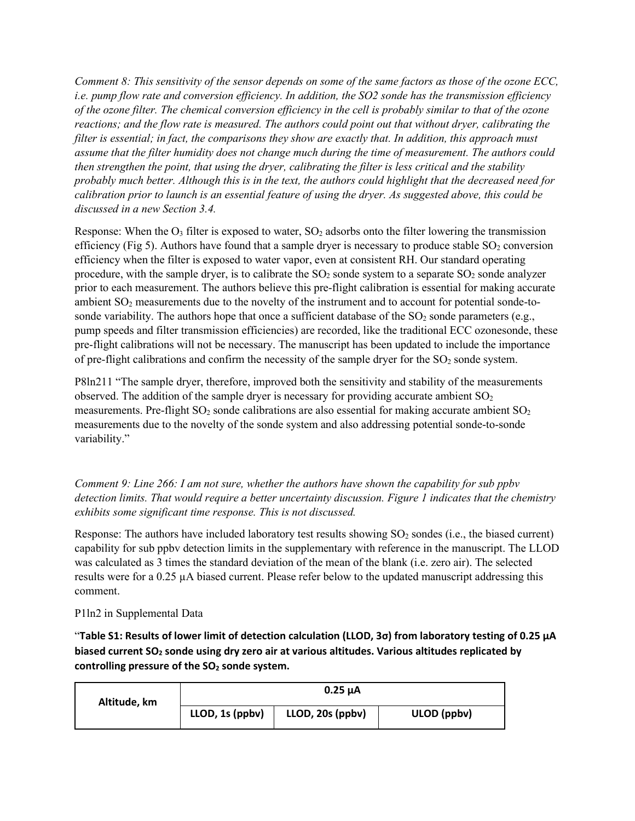*Comment 8: This sensitivity of the sensor depends on some of the same factors as those of the ozone ECC, i.e. pump flow rate and conversion efficiency. In addition, the SO2 sonde has the transmission efficiency of the ozone filter. The chemical conversion efficiency in the cell is probably similar to that of the ozone reactions; and the flow rate is measured. The authors could point out that without dryer, calibrating the filter is essential; in fact, the comparisons they show are exactly that. In addition, this approach must assume that the filter humidity does not change much during the time of measurement. The authors could then strengthen the point, that using the dryer, calibrating the filter is less critical and the stability probably much better. Although this is in the text, the authors could highlight that the decreased need for calibration prior to launch is an essential feature of using the dryer. As suggested above, this could be discussed in a new Section 3.4.* 

Response: When the  $O_3$  filter is exposed to water,  $SO_2$  adsorbs onto the filter lowering the transmission efficiency (Fig 5). Authors have found that a sample dryer is necessary to produce stable  $SO_2$  conversion efficiency when the filter is exposed to water vapor, even at consistent RH. Our standard operating procedure, with the sample dryer, is to calibrate the  $SO_2$  sonde system to a separate  $SO_2$  sonde analyzer prior to each measurement. The authors believe this pre-flight calibration is essential for making accurate ambient SO<sub>2</sub> measurements due to the novelty of the instrument and to account for potential sonde-tosonde variability. The authors hope that once a sufficient database of the  $SO_2$  sonde parameters (e.g., pump speeds and filter transmission efficiencies) are recorded, like the traditional ECC ozonesonde, these pre-flight calibrations will not be necessary. The manuscript has been updated to include the importance of pre-flight calibrations and confirm the necessity of the sample dryer for the  $SO<sub>2</sub>$  sonde system.

P8ln211 "The sample dryer, therefore, improved both the sensitivity and stability of the measurements observed. The addition of the sample dryer is necessary for providing accurate ambient  $SO<sub>2</sub>$ measurements. Pre-flight  $SO_2$  sonde calibrations are also essential for making accurate ambient  $SO_2$ measurements due to the novelty of the sonde system and also addressing potential sonde-to-sonde variability."

*Comment 9: Line 266: I am not sure, whether the authors have shown the capability for sub ppbv detection limits. That would require a better uncertainty discussion. Figure 1 indicates that the chemistry exhibits some significant time response. This is not discussed.* 

Response: The authors have included laboratory test results showing  $SO<sub>2</sub>$  sondes (i.e., the biased current) capability for sub ppbv detection limits in the supplementary with reference in the manuscript. The LLOD was calculated as 3 times the standard deviation of the mean of the blank (i.e. zero air). The selected results were for a 0.25 µA biased current. Please refer below to the updated manuscript addressing this comment.

P1ln2 in Supplemental Data

"**Table S1: Results of lower limit of detection calculation (LLOD, 3σ) from laboratory testing of 0.25 µA biased current SO<sup>2</sup> sonde using dry zero air at various altitudes. Various altitudes replicated by controlling pressure of the SO2 sonde system.**

| Altitude, km | $0.25 \mu A$    |                  |             |
|--------------|-----------------|------------------|-------------|
|              | LLOD, 1s (ppbv) | LLOD, 20s (ppbv) | ULOD (ppbv) |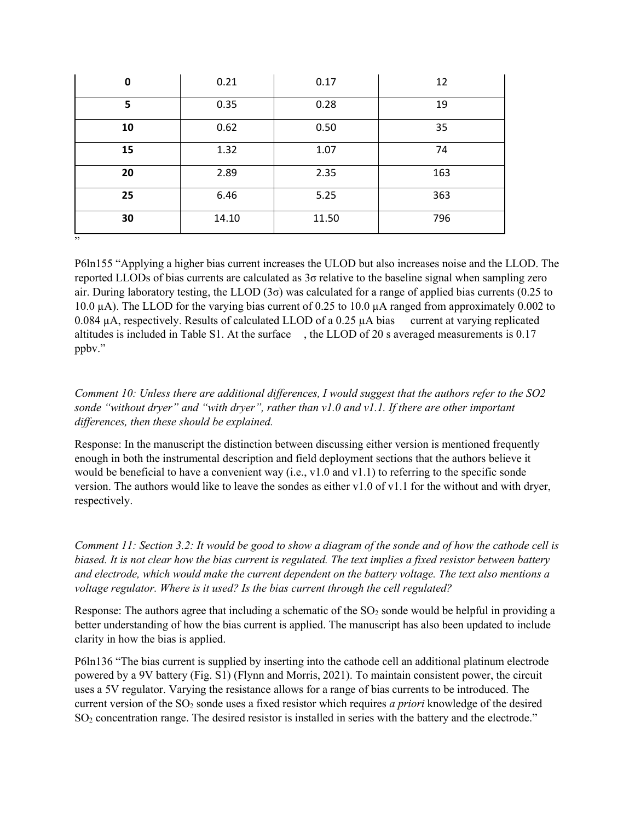| 0   | 0.21  | 0.17  | 12  |
|-----|-------|-------|-----|
| 5   | 0.35  | 0.28  | 19  |
| 10  | 0.62  | 0.50  | 35  |
| 15  | 1.32  | 1.07  | 74  |
| 20  | 2.89  | 2.35  | 163 |
| 25  | 6.46  | 5.25  | 363 |
| 30  | 14.10 | 11.50 | 796 |
| , , |       |       |     |

P6ln155 "Applying a higher bias current increases the ULOD but also increases noise and the LLOD. The reported LLODs of bias currents are calculated as 3σ relative to the baseline signal when sampling zero air. During laboratory testing, the LLOD (3σ) was calculated for a range of applied bias currents (0.25 to 10.0 µA). The LLOD for the varying bias current of 0.25 to 10.0 µA ranged from approximately 0.002 to 0.084  $\mu$ A, respectively. Results of calculated LLOD of a 0.25  $\mu$ A bias current at varying replicated altitudes is included in Table S1. At the surface , the LLOD of 20 s averaged measurements is 0.17 ppbv."

# *Comment 10: Unless there are additional differences, I would suggest that the authors refer to the SO2 sonde "without dryer" and "with dryer", rather than v1.0 and v1.1. If there are other important differences, then these should be explained.*

Response: In the manuscript the distinction between discussing either version is mentioned frequently enough in both the instrumental description and field deployment sections that the authors believe it would be beneficial to have a convenient way (i.e., v1.0 and v1.1) to referring to the specific sonde version. The authors would like to leave the sondes as either v1.0 of v1.1 for the without and with dryer, respectively.

*Comment 11: Section 3.2: It would be good to show a diagram of the sonde and of how the cathode cell is biased. It is not clear how the bias current is regulated. The text implies a fixed resistor between battery and electrode, which would make the current dependent on the battery voltage. The text also mentions a voltage regulator. Where is it used? Is the bias current through the cell regulated?*

Response: The authors agree that including a schematic of the  $SO<sub>2</sub>$  sonde would be helpful in providing a better understanding of how the bias current is applied. The manuscript has also been updated to include clarity in how the bias is applied.

P6ln136 "The bias current is supplied by inserting into the cathode cell an additional platinum electrode powered by a 9V battery (Fig. S1) (Flynn and Morris, 2021). To maintain consistent power, the circuit uses a 5V regulator. Varying the resistance allows for a range of bias currents to be introduced. The current version of the SO<sub>2</sub> sonde uses a fixed resistor which requires *a priori* knowledge of the desired SO2 concentration range. The desired resistor is installed in series with the battery and the electrode."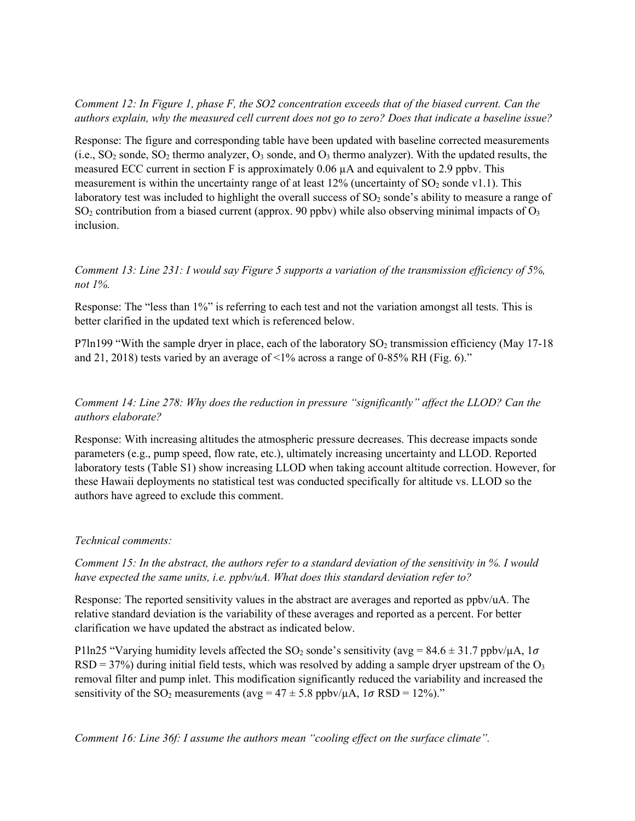*Comment 12: In Figure 1, phase F, the SO2 concentration exceeds that of the biased current. Can the authors explain, why the measured cell current does not go to zero? Does that indicate a baseline issue?* 

Response: The figure and corresponding table have been updated with baseline corrected measurements  $(i.e., SO<sub>2</sub> sonde, SO<sub>2</sub> thermo analyzer, O<sub>3</sub> sonde, and O<sub>3</sub> thermo analyzer). With the updated results, the$ measured ECC current in section F is approximately  $0.06 \mu A$  and equivalent to 2.9 ppbv. This measurement is within the uncertainty range of at least  $12\%$  (uncertainty of SO<sub>2</sub> sonde v1.1). This laboratory test was included to highlight the overall success of  $SO<sub>2</sub>$  sonde's ability to measure a range of  $SO_2$  contribution from a biased current (approx. 90 ppbv) while also observing minimal impacts of  $O_3$ inclusion.

*Comment 13: Line 231: I would say Figure 5 supports a variation of the transmission efficiency of 5%, not 1%.* 

Response: The "less than 1%" is referring to each test and not the variation amongst all tests. This is better clarified in the updated text which is referenced below.

P7ln199 "With the sample dryer in place, each of the laboratory  $SO<sub>2</sub>$  transmission efficiency (May 17-18) and 21, 2018) tests varied by an average of <1% across a range of 0-85% RH (Fig. 6)."

*Comment 14: Line 278: Why does the reduction in pressure "significantly" affect the LLOD? Can the authors elaborate?* 

Response: With increasing altitudes the atmospheric pressure decreases. This decrease impacts sonde parameters (e.g., pump speed, flow rate, etc.), ultimately increasing uncertainty and LLOD. Reported laboratory tests (Table S1) show increasing LLOD when taking account altitude correction. However, for these Hawaii deployments no statistical test was conducted specifically for altitude vs. LLOD so the authors have agreed to exclude this comment.

#### *Technical comments:*

*Comment 15: In the abstract, the authors refer to a standard deviation of the sensitivity in %. I would have expected the same units, i.e. ppbv/uA. What does this standard deviation refer to?* 

Response: The reported sensitivity values in the abstract are averages and reported as ppbv/uA. The relative standard deviation is the variability of these averages and reported as a percent. For better clarification we have updated the abstract as indicated below.

P1ln25 "Varying humidity levels affected the SO<sub>2</sub> sonde's sensitivity (avg = 84.6  $\pm$  31.7 ppbv/ $\mu$ A, 1 $\sigma$  $RSD = 37\%)$  during initial field tests, which was resolved by adding a sample dryer upstream of the O<sub>3</sub> removal filter and pump inlet. This modification significantly reduced the variability and increased the sensitivity of the SO<sub>2</sub> measurements (avg =  $47 \pm 5.8$  ppbv/ $\mu$ A, 1 $\sigma$  RSD = 12%)."

*Comment 16: Line 36f: I assume the authors mean "cooling effect on the surface climate".*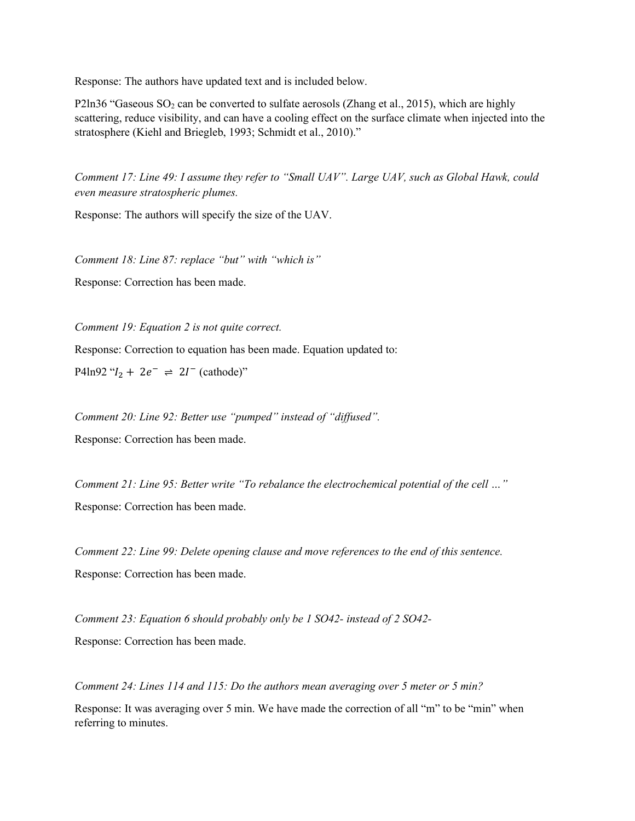Response: The authors have updated text and is included below.

P2ln36 "Gaseous  $SO_2$  can be converted to sulfate aerosols (Zhang et al., 2015), which are highly scattering, reduce visibility, and can have a cooling effect on the surface climate when injected into the stratosphere (Kiehl and Briegleb, 1993; Schmidt et al., 2010)."

*Comment 17: Line 49: I assume they refer to "Small UAV". Large UAV, such as Global Hawk, could even measure stratospheric plumes.* 

Response: The authors will specify the size of the UAV.

*Comment 18: Line 87: replace "but" with "which is"* 

Response: Correction has been made.

*Comment 19: Equation 2 is not quite correct.* 

Response: Correction to equation has been made. Equation updated to:

P4ln92 " $I_2$  + 2 $e^ \Rightarrow$  2 $I^-$  (cathode)"

*Comment 20: Line 92: Better use "pumped" instead of "diffused".* 

Response: Correction has been made.

*Comment 21: Line 95: Better write "To rebalance the electrochemical potential of the cell …"*  Response: Correction has been made.

*Comment 22: Line 99: Delete opening clause and move references to the end of this sentence.*  Response: Correction has been made.

*Comment 23: Equation 6 should probably only be 1 SO42- instead of 2 SO42-* Response: Correction has been made.

*Comment 24: Lines 114 and 115: Do the authors mean averaging over 5 meter or 5 min?* 

Response: It was averaging over 5 min. We have made the correction of all "m" to be "min" when referring to minutes.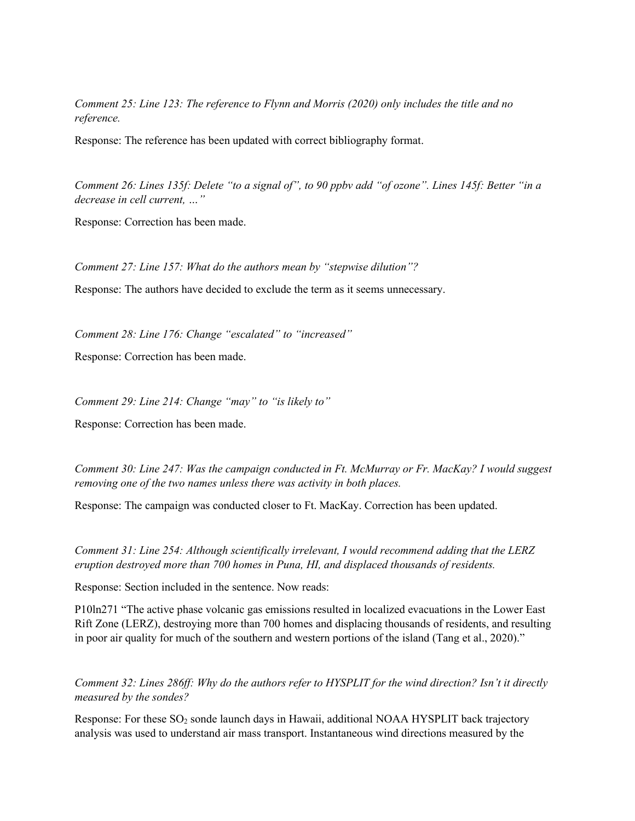*Comment 25: Line 123: The reference to Flynn and Morris (2020) only includes the title and no reference.* 

Response: The reference has been updated with correct bibliography format.

*Comment 26: Lines 135f: Delete "to a signal of", to 90 ppbv add "of ozone". Lines 145f: Better "in a decrease in cell current, …"* 

Response: Correction has been made.

*Comment 27: Line 157: What do the authors mean by "stepwise dilution"?* 

Response: The authors have decided to exclude the term as it seems unnecessary.

*Comment 28: Line 176: Change "escalated" to "increased"* 

Response: Correction has been made.

*Comment 29: Line 214: Change "may" to "is likely to"* 

Response: Correction has been made.

*Comment 30: Line 247: Was the campaign conducted in Ft. McMurray or Fr. MacKay? I would suggest removing one of the two names unless there was activity in both places.* 

Response: The campaign was conducted closer to Ft. MacKay. Correction has been updated.

*Comment 31: Line 254: Although scientifically irrelevant, I would recommend adding that the LERZ eruption destroyed more than 700 homes in Puna, HI, and displaced thousands of residents.* 

Response: Section included in the sentence. Now reads:

P10ln271 "The active phase volcanic gas emissions resulted in localized evacuations in the Lower East Rift Zone (LERZ), destroying more than 700 homes and displacing thousands of residents, and resulting in poor air quality for much of the southern and western portions of the island (Tang et al., 2020)."

*Comment 32: Lines 286ff: Why do the authors refer to HYSPLIT for the wind direction? Isn't it directly measured by the sondes?* 

Response: For these  $SO_2$  sonde launch days in Hawaii, additional NOAA HYSPLIT back trajectory analysis was used to understand air mass transport. Instantaneous wind directions measured by the